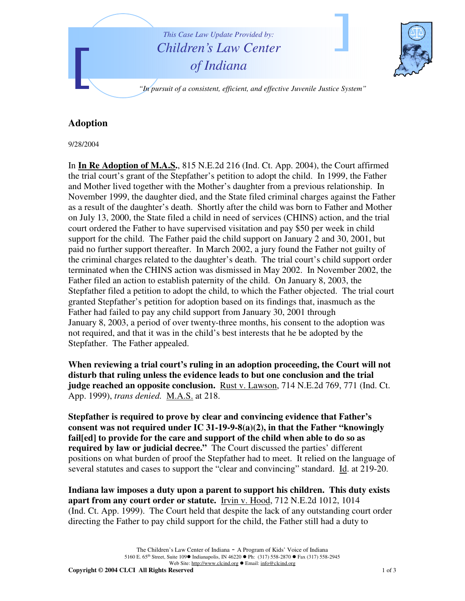

## **Adoption**

9/28/2004

In **In Re Adoption of M.A.S.**, 815 N.E.2d 216 (Ind. Ct. App. 2004), the Court affirmed the trial court's grant of the Stepfather's petition to adopt the child. In 1999, the Father and Mother lived together with the Mother's daughter from a previous relationship. In November 1999, the daughter died, and the State filed criminal charges against the Father as a result of the daughter's death. Shortly after the child was born to Father and Mother on July 13, 2000, the State filed a child in need of services (CHINS) action, and the trial court ordered the Father to have supervised visitation and pay \$50 per week in child support for the child. The Father paid the child support on January 2 and 30, 2001, but paid no further support thereafter. In March 2002, a jury found the Father not guilty of the criminal charges related to the daughter's death. The trial court's child support order terminated when the CHINS action was dismissed in May 2002. In November 2002, the Father filed an action to establish paternity of the child. On January 8, 2003, the Stepfather filed a petition to adopt the child, to which the Father objected. The trial court granted Stepfather's petition for adoption based on its findings that, inasmuch as the Father had failed to pay any child support from January 30, 2001 through January 8, 2003, a period of over twenty-three months, his consent to the adoption was not required, and that it was in the child's best interests that he be adopted by the Stepfather. The Father appealed.

**When reviewing a trial court's ruling in an adoption proceeding, the Court will not disturb that ruling unless the evidence leads to but one conclusion and the trial judge reached an opposite conclusion.** Rust v. Lawson, 714 N.E.2d 769, 771 (Ind. Ct. App. 1999), *trans denied.* M.A.S. at 218.

**Stepfather is required to prove by clear and convincing evidence that Father's consent was not required under IC 31-19-9-8(a)(2), in that the Father "knowingly fail[ed] to provide for the care and support of the child when able to do so as required by law or judicial decree."** The Court discussed the parties' different positions on what burden of proof the Stepfather had to meet. It relied on the language of several statutes and cases to support the "clear and convincing" standard. Id. at 219-20.

**Indiana law imposes a duty upon a parent to support his children. This duty exists apart from any court order or statute.** Irvin v. Hood, 712 N.E.2d 1012, 1014 (Ind. Ct. App. 1999). The Court held that despite the lack of any outstanding court order directing the Father to pay child support for the child, the Father still had a duty to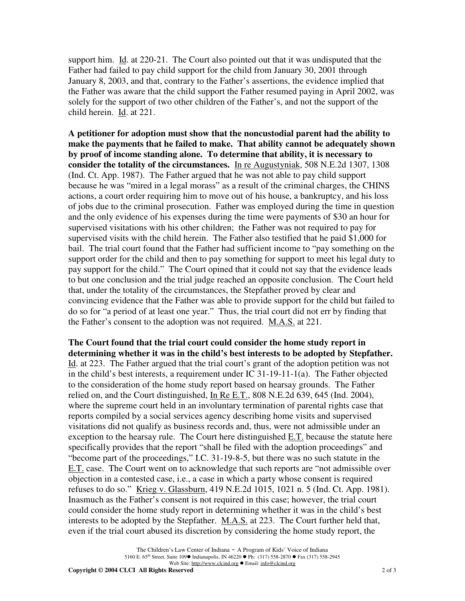support him. Id. at 220-21. The Court also pointed out that it was undisputed that the Father had failed to pay child support for the child from January 30, 2001 through January 8, 2003, and that, contrary to the Father's assertions, the evidence implied that the Father was aware that the child support the Father resumed paying in April 2002, was solely for the support of two other children of the Father's, and not the support of the child herein. Id. at 221.

**A petitioner for adoption must show that the noncustodial parent had the ability to make the payments that he failed to make. That ability cannot be adequately shown by proof of income standing alone. To determine that ability, it is necessary to consider the totality of the circumstances.** In re Augustyniak, 508 N.E.2d 1307, 1308 (Ind. Ct. App. 1987). The Father argued that he was not able to pay child support because he was "mired in a legal morass" as a result of the criminal charges, the CHINS actions, a court order requiring him to move out of his house, a bankruptcy, and his loss of jobs due to the criminal prosecution. Father was employed during the time in question and the only evidence of his expenses during the time were payments of \$30 an hour for supervised visitations with his other children; the Father was not required to pay for supervised visits with the child herein. The Father also testified that he paid \$1,000 for bail. The trial court found that the Father had sufficient income to "pay something on the support order for the child and then to pay something for support to meet his legal duty to pay support for the child." The Court opined that it could not say that the evidence leads to but one conclusion and the trial judge reached an opposite conclusion. The Court held that, under the totality of the circumstances, the Stepfather proved by clear and convincing evidence that the Father was able to provide support for the child but failed to do so for "a period of at least one year." Thus, the trial court did not err by finding that the Father's consent to the adoption was not required. M.A.S. at 221.

**The Court found that the trial court could consider the home study report in determining whether it was in the child's best interests to be adopted by Stepfather.** Id. at 223. The Father argued that the trial court's grant of the adoption petition was not in the child's best interests, a requirement under IC 31-19-11-1(a). The Father objected to the consideration of the home study report based on hearsay grounds. The Father relied on, and the Court distinguished, In Re E.T., 808 N.E.2d 639, 645 (Ind. 2004), where the supreme court held in an involuntary termination of parental rights case that reports compiled by a social services agency describing home visits and supervised visitations did not qualify as business records and, thus, were not admissible under an exception to the hearsay rule. The Court here distinguished  $E.T.$  because the statute here specifically provides that the report "shall be filed with the adoption proceedings" and "become part of the proceedings," I.C. 31-19-8-5, but there was no such statute in the E.T. case. The Court went on to acknowledge that such reports are "not admissible over objection in a contested case, i.e., a case in which a party whose consent is required refuses to do so." Krieg v. Glassburn, 419 N.E.2d 1015, 1021 n. 5 (Ind. Ct. App. 1981). Inasmuch as the Father's consent is not required in this case; however, the trial court could consider the home study report in determining whether it was in the child's best interests to be adopted by the Stepfather. M.A.S. at 223. The Court further held that, even if the trial court abused its discretion by considering the home study report, the